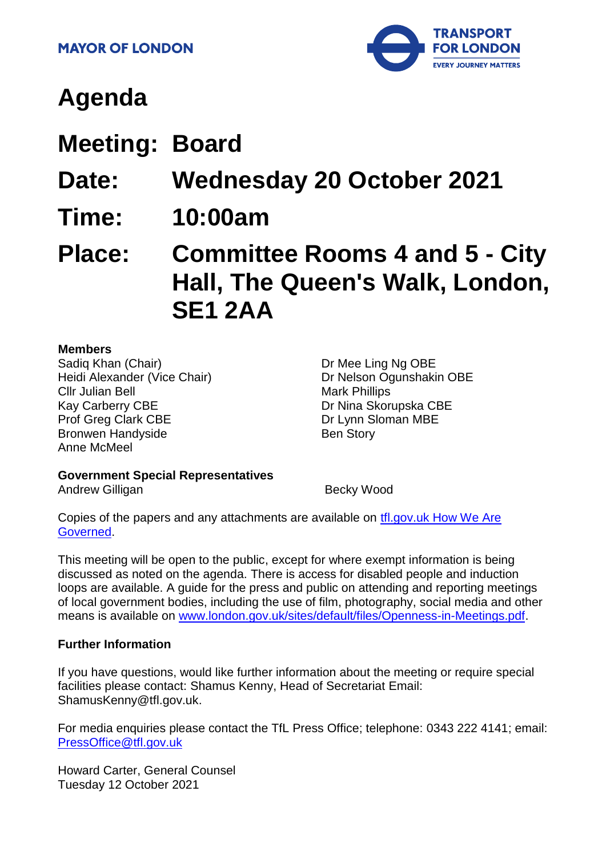

# **Agenda**

- **Meeting: Board**
- **Date: Wednesday 20 October 2021**
- **Time: 10:00am**

**Place: Committee Rooms 4 and 5 - City Hall, The Queen's Walk, London, SE1 2AA**

#### **Members**

Sadiq Khan (Chair) Heidi Alexander (Vice Chair) Cllr Julian Bell Kay Carberry CBE Prof Greg Clark CBE Bronwen Handyside Anne McMeel

Dr Mee Ling Ng OBE Dr Nelson Ogunshakin OBE Mark Phillips Dr Nina Skorupska CBE Dr Lynn Sloman MBE Ben Story

## **Government Special Representatives**

Andrew Gilligan Becky Wood

Copies of the papers and any attachments are available on [tfl.gov.uk How We Are](http://www.tfl.gov.uk/corporate/about-tfl/how-we-work/how-we-are-governed)  [Governed.](http://www.tfl.gov.uk/corporate/about-tfl/how-we-work/how-we-are-governed)

This meeting will be open to the public, except for where exempt information is being discussed as noted on the agenda. There is access for disabled people and induction loops are available. A guide for the press and public on attending and reporting meetings of local government bodies, including the use of film, photography, social media and other means is available on [www.london.gov.uk/sites/default/files/Openness-in-Meetings.pdf.](http://www.london.gov.uk/sites/default/files/Openness-in-Meetings.pdf)

#### **Further Information**

If you have questions, would like further information about the meeting or require special facilities please contact: Shamus Kenny, Head of Secretariat Email: ShamusKenny@tfl.gov.uk.

For media enquiries please contact the TfL Press Office; telephone: 0343 222 4141; email: [PressOffice@tfl.gov.uk](mailto:PressOffice@tfl.gov.uk)

Howard Carter, General Counsel Tuesday 12 October 2021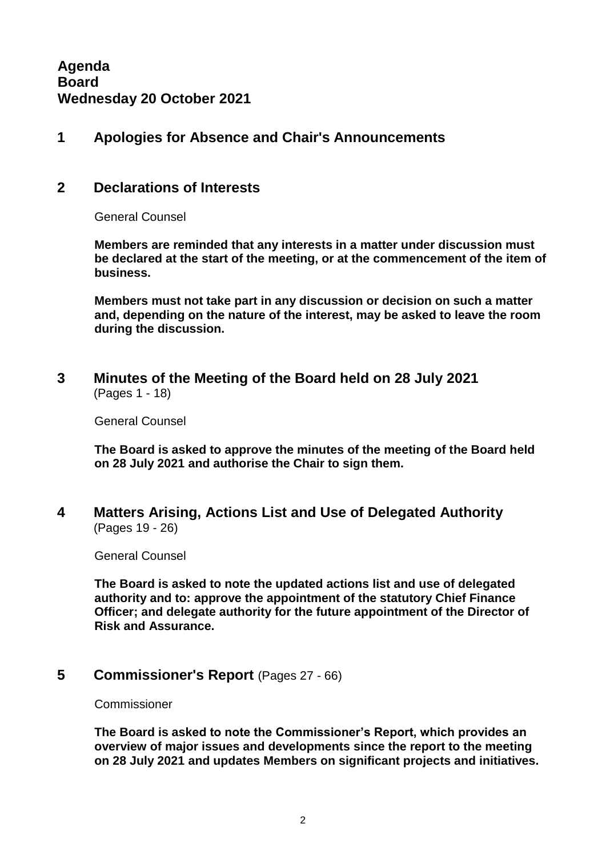## **1 Apologies for Absence and Chair's Announcements**

## **2 Declarations of Interests**

General Counsel

**Members are reminded that any interests in a matter under discussion must be declared at the start of the meeting, or at the commencement of the item of business.** 

**Members must not take part in any discussion or decision on such a matter and, depending on the nature of the interest, may be asked to leave the room during the discussion.**

**3 Minutes of the Meeting of the Board held on 28 July 2021** (Pages 1 - 18)

General Counsel

**The Board is asked to approve the minutes of the meeting of the Board held on 28 July 2021 and authorise the Chair to sign them.**

**4 Matters Arising, Actions List and Use of Delegated Authority** (Pages 19 - 26)

General Counsel

**The Board is asked to note the updated actions list and use of delegated authority and to: approve the appointment of the statutory Chief Finance Officer; and delegate authority for the future appointment of the Director of Risk and Assurance.**

#### **5 Commissioner's Report** (Pages 27 - 66)

Commissioner

**The Board is asked to note the Commissioner's Report, which provides an overview of major issues and developments since the report to the meeting on 28 July 2021 and updates Members on significant projects and initiatives.**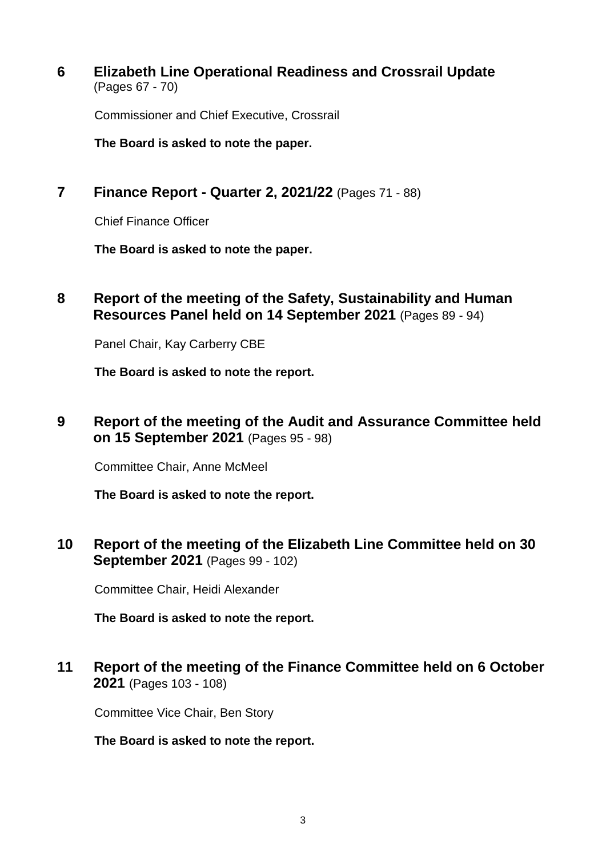**6 Elizabeth Line Operational Readiness and Crossrail Update** (Pages 67 - 70)

Commissioner and Chief Executive, Crossrail

**The Board is asked to note the paper.**

**7 Finance Report - Quarter 2, 2021/22** (Pages 71 - 88)

Chief Finance Officer

**The Board is asked to note the paper.**

**8 Report of the meeting of the Safety, Sustainability and Human Resources Panel held on 14 September 2021** (Pages 89 - 94)

Panel Chair, Kay Carberry CBE

**The Board is asked to note the report.**

**9 Report of the meeting of the Audit and Assurance Committee held on 15 September 2021** (Pages 95 - 98)

Committee Chair, Anne McMeel

**The Board is asked to note the report.** 

**10 Report of the meeting of the Elizabeth Line Committee held on 30 September 2021** (Pages 99 - 102)

Committee Chair, Heidi Alexander

**The Board is asked to note the report.**

**11 Report of the meeting of the Finance Committee held on 6 October 2021** (Pages 103 - 108)

Committee Vice Chair, Ben Story

**The Board is asked to note the report.**